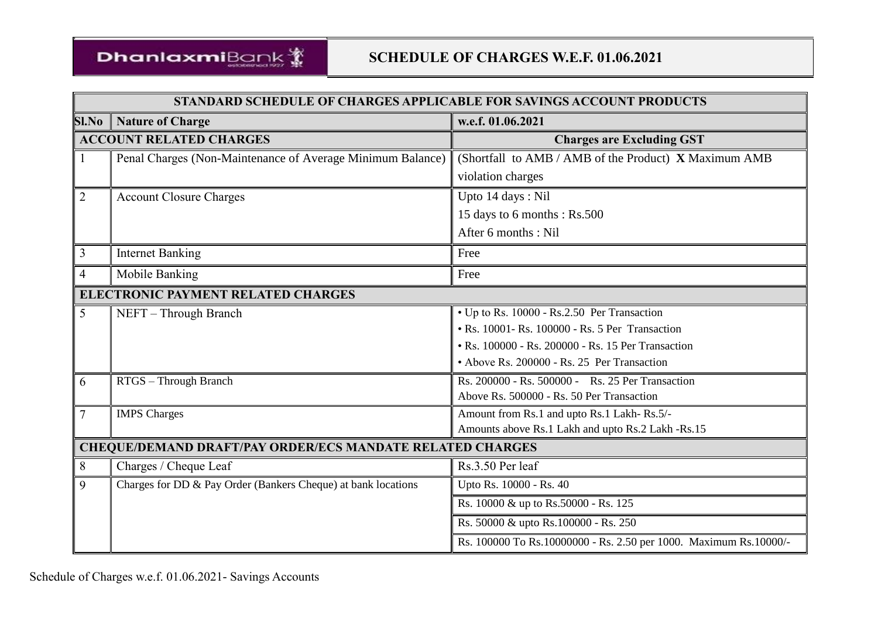

|                                    | STANDARD SCHEDULE OF CHARGES APPLICABLE FOR SAVINGS ACCOUNT PRODUCTS |                                                                     |  |  |  |  |  |  |
|------------------------------------|----------------------------------------------------------------------|---------------------------------------------------------------------|--|--|--|--|--|--|
| SI.No                              | <b>Nature of Charge</b>                                              | w.e.f. 01.06.2021                                                   |  |  |  |  |  |  |
|                                    | <b>ACCOUNT RELATED CHARGES</b>                                       | <b>Charges are Excluding GST</b>                                    |  |  |  |  |  |  |
|                                    | Penal Charges (Non-Maintenance of Average Minimum Balance)           | (Shortfall to AMB / AMB of the Product) X Maximum AMB               |  |  |  |  |  |  |
|                                    |                                                                      | violation charges                                                   |  |  |  |  |  |  |
| $\overline{2}$                     | <b>Account Closure Charges</b>                                       | Upto 14 days: Nil                                                   |  |  |  |  |  |  |
|                                    |                                                                      | 15 days to 6 months : Rs.500                                        |  |  |  |  |  |  |
|                                    |                                                                      | After 6 months : Nil                                                |  |  |  |  |  |  |
| $\mathfrak{Z}$                     | <b>Internet Banking</b>                                              | Free                                                                |  |  |  |  |  |  |
| 4                                  | Mobile Banking                                                       | Free                                                                |  |  |  |  |  |  |
| ELECTRONIC PAYMENT RELATED CHARGES |                                                                      |                                                                     |  |  |  |  |  |  |
| 5                                  | NEFT - Through Branch                                                | • Up to Rs. 10000 - Rs.2.50 Per Transaction                         |  |  |  |  |  |  |
|                                    |                                                                      | • Rs. 10001- Rs. 100000 - Rs. 5 Per Transaction                     |  |  |  |  |  |  |
|                                    |                                                                      | • Rs. 100000 - Rs. 200000 - Rs. 15 Per Transaction                  |  |  |  |  |  |  |
|                                    |                                                                      | • Above Rs. 200000 - Rs. 25 Per Transaction                         |  |  |  |  |  |  |
| 6                                  | RTGS - Through Branch                                                | Rs. 200000 - Rs. 500000 - Rs. 25 Per Transaction                    |  |  |  |  |  |  |
|                                    |                                                                      | Above Rs. 500000 - Rs. 50 Per Transaction                           |  |  |  |  |  |  |
| $\overline{7}$                     | <b>IMPS</b> Charges                                                  | Amount from Rs.1 and upto Rs.1 Lakh-Rs.5/-                          |  |  |  |  |  |  |
|                                    |                                                                      | Amounts above Rs.1 Lakh and upto Rs.2 Lakh -Rs.15                   |  |  |  |  |  |  |
|                                    | <b>CHEQUE/DEMAND DRAFT/PAY ORDER/ECS MANDATE RELATED CHARGES</b>     |                                                                     |  |  |  |  |  |  |
| 8                                  | Charges / Cheque Leaf                                                | Rs.3.50 Per leaf                                                    |  |  |  |  |  |  |
| 9                                  | Charges for DD & Pay Order (Bankers Cheque) at bank locations        | Upto Rs. 10000 - Rs. 40                                             |  |  |  |  |  |  |
|                                    |                                                                      | Rs. 10000 & up to Rs. 50000 - Rs. 125                               |  |  |  |  |  |  |
|                                    |                                                                      | Rs. 50000 & upto Rs. 100000 - Rs. 250                               |  |  |  |  |  |  |
|                                    |                                                                      | Rs. 100000 To Rs. 10000000 - Rs. 2.50 per 1000. Maximum Rs. 10000/- |  |  |  |  |  |  |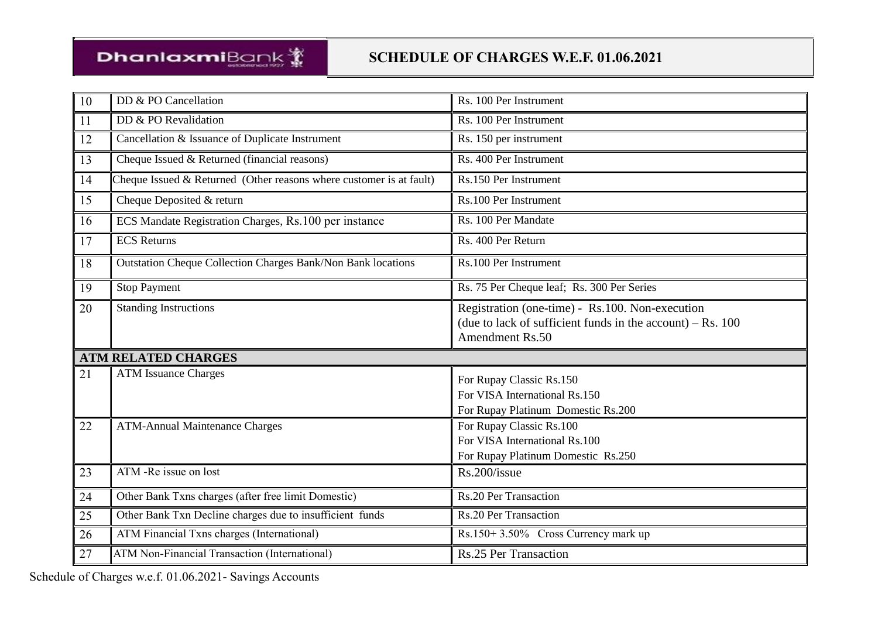| 10 | DD & PO Cancellation                                                  | Rs. 100 Per Instrument                                                                                                             |
|----|-----------------------------------------------------------------------|------------------------------------------------------------------------------------------------------------------------------------|
| 11 | DD & PO Revalidation                                                  | Rs. 100 Per Instrument                                                                                                             |
| 12 | Cancellation & Issuance of Duplicate Instrument                       | Rs. 150 per instrument                                                                                                             |
| 13 | Cheque Issued & Returned (financial reasons)                          | Rs. 400 Per Instrument                                                                                                             |
| 14 | Cheque Issued $&$ Returned (Other reasons where customer is at fault) | Rs.150 Per Instrument                                                                                                              |
| 15 | Cheque Deposited & return                                             | Rs.100 Per Instrument                                                                                                              |
| 16 | ECS Mandate Registration Charges, Rs.100 per instance                 | Rs. 100 Per Mandate                                                                                                                |
| 17 | <b>ECS Returns</b>                                                    | Rs. 400 Per Return                                                                                                                 |
| 18 | <b>Outstation Cheque Collection Charges Bank/Non Bank locations</b>   | Rs.100 Per Instrument                                                                                                              |
| 19 | <b>Stop Payment</b>                                                   | Rs. 75 Per Cheque leaf; Rs. 300 Per Series                                                                                         |
| 20 | <b>Standing Instructions</b>                                          | Registration (one-time) - Rs.100. Non-execution<br>(due to lack of sufficient funds in the account) $-$ Rs. 100<br>Amendment Rs.50 |
|    | <b>ATM RELATED CHARGES</b>                                            |                                                                                                                                    |
| 21 | <b>ATM Issuance Charges</b>                                           | For Rupay Classic Rs.150<br>For VISA International Rs.150<br>For Rupay Platinum Domestic Rs.200                                    |
| 22 | <b>ATM-Annual Maintenance Charges</b>                                 | For Rupay Classic Rs.100<br>For VISA International Rs.100<br>For Rupay Platinum Domestic Rs.250                                    |
| 23 | ATM -Re issue on lost                                                 | Rs.200/issue                                                                                                                       |
| 24 | Other Bank Txns charges (after free limit Domestic)                   | <b>Rs.20 Per Transaction</b>                                                                                                       |
| 25 | Other Bank Txn Decline charges due to insufficient funds              | <b>Rs.20 Per Transaction</b>                                                                                                       |
| 26 | ATM Financial Txns charges (International)                            | Rs.150+3.50% Cross Currency mark up                                                                                                |
|    |                                                                       |                                                                                                                                    |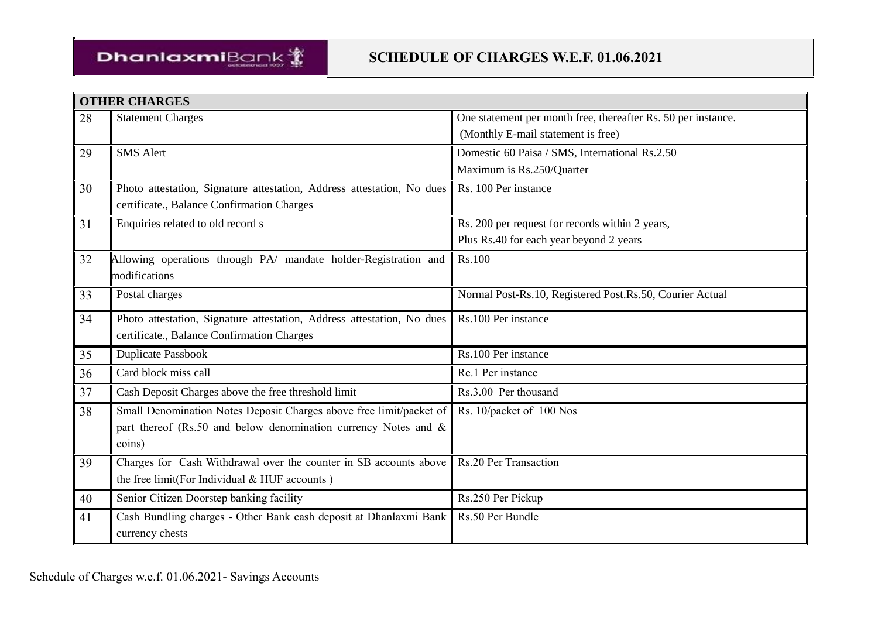

|    | <b>OTHER CHARGES</b>                                                   |                                                               |
|----|------------------------------------------------------------------------|---------------------------------------------------------------|
| 28 | <b>Statement Charges</b>                                               | One statement per month free, thereafter Rs. 50 per instance. |
|    |                                                                        | (Monthly E-mail statement is free)                            |
| 29 | <b>SMS Alert</b>                                                       | Domestic 60 Paisa / SMS, International Rs.2.50                |
|    |                                                                        | Maximum is Rs.250/Quarter                                     |
| 30 | Photo attestation, Signature attestation, Address attestation, No dues | Rs. 100 Per instance                                          |
|    | certificate., Balance Confirmation Charges                             |                                                               |
| 31 | Enquiries related to old record s                                      | Rs. 200 per request for records within 2 years,               |
|    |                                                                        | Plus Rs.40 for each year beyond 2 years                       |
| 32 | Allowing operations through PA/ mandate holder-Registration and        | Rs.100                                                        |
|    | modifications                                                          |                                                               |
| 33 | Postal charges                                                         | Normal Post-Rs.10, Registered Post.Rs.50, Courier Actual      |
| 34 | Photo attestation, Signature attestation, Address attestation, No dues | Rs.100 Per instance                                           |
|    | certificate., Balance Confirmation Charges                             |                                                               |
| 35 | <b>Duplicate Passbook</b>                                              | Rs.100 Per instance                                           |
| 36 | Card block miss call                                                   | Re.1 Per instance                                             |
| 37 | Cash Deposit Charges above the free threshold limit                    | Rs.3.00 Per thousand                                          |
| 38 | Small Denomination Notes Deposit Charges above free limit/packet of    | Rs. 10/packet of 100 Nos                                      |
|    | part thereof (Rs.50 and below denomination currency Notes and &        |                                                               |
|    | coins)                                                                 |                                                               |
| 39 | Charges for Cash Withdrawal over the counter in SB accounts above      | Rs.20 Per Transaction                                         |
|    | the free limit(For Individual & HUF accounts)                          |                                                               |
| 40 | Senior Citizen Doorstep banking facility                               | Rs.250 Per Pickup                                             |
| 41 | Cash Bundling charges - Other Bank cash deposit at Dhanlaxmi Bank      | Rs.50 Per Bundle                                              |
|    | currency chests                                                        |                                                               |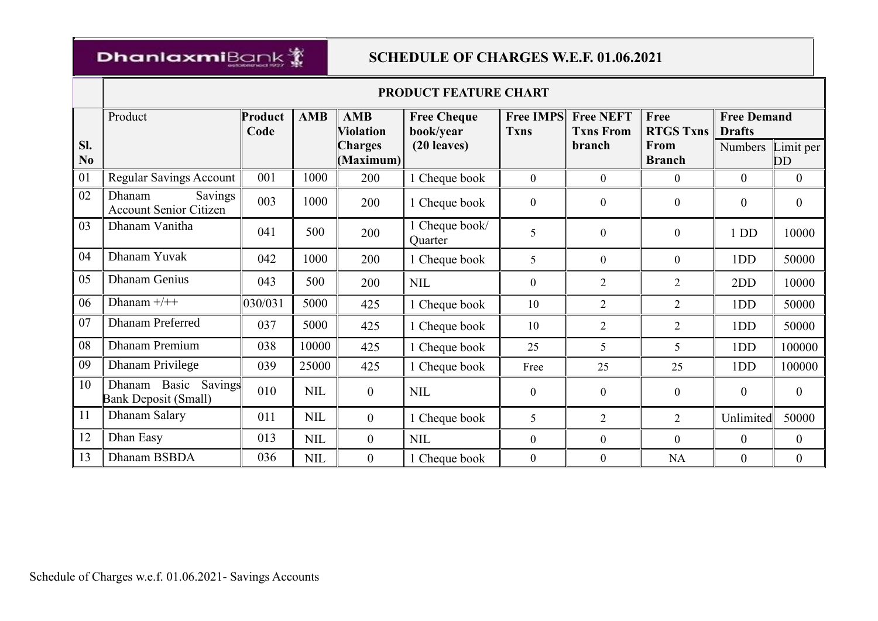# DhanlaxmiBank

|                       | PRODUCT FEATURE CHART                                  |                 |            |                                |                                 |                                 |                                      |                          |                                     |                        |  |
|-----------------------|--------------------------------------------------------|-----------------|------------|--------------------------------|---------------------------------|---------------------------------|--------------------------------------|--------------------------|-------------------------------------|------------------------|--|
|                       | Product                                                | Product<br>Code | AMB        | <b>AMB</b><br><b>Violation</b> | <b>Free Cheque</b><br>book/year | <b>Free IMPS</b><br><b>Txns</b> | <b>Free NEFT</b><br><b>Txns From</b> | Free<br><b>RTGS Txns</b> | <b>Free Demand</b><br><b>Drafts</b> |                        |  |
| SI.<br>N <sub>0</sub> |                                                        |                 |            | <b>Charges</b><br>(Maximum)    | (20 leaves)                     |                                 | branch                               | From<br><b>Branch</b>    | Numbers                             | Limit per<br><b>DD</b> |  |
| 01                    | <b>Regular Savings Account</b>                         | 001             | 1000       | 200                            | 1 Cheque book                   | $\overline{0}$                  | $\boldsymbol{0}$                     | $\overline{0}$           | $\theta$                            | $\overline{0}$         |  |
| 02                    | Dhanam<br>Savings<br><b>Account Senior Citizen</b>     | 003             | 1000       | 200                            | 1 Cheque book                   | $\boldsymbol{0}$                | $\boldsymbol{0}$                     | $\boldsymbol{0}$         | $\theta$                            | $\overline{0}$         |  |
| 03                    | Dhanam Vanitha                                         | 041             | 500        | 200                            | 1 Cheque book/<br>Quarter       | 5                               | $\mathbf{0}$                         | $\mathbf{0}$             | 1 <sub>DD</sub>                     | 10000                  |  |
| 04                    | Dhanam Yuvak                                           | 042             | 1000       | 200                            | 1 Cheque book                   | 5                               | $\mathbf{0}$                         | $\mathbf{0}$             | 1DD                                 | 50000                  |  |
| 05                    | <b>Dhanam Genius</b>                                   | 043             | 500        | 200                            | <b>NIL</b>                      | $\mathbf{0}$                    | $\overline{2}$                       | $\overline{2}$           | 2DD                                 | 10000                  |  |
| 06                    | Dhanam $+/++$                                          | 030/031         | 5000       | 425                            | 1 Cheque book                   | 10                              | $\overline{2}$                       | $\overline{2}$           | 1DD                                 | 50000                  |  |
| 07                    | <b>Dhanam Preferred</b>                                | 037             | 5000       | 425                            | 1 Cheque book                   | 10                              | $\overline{2}$                       | $\overline{2}$           | 1DD                                 | 50000                  |  |
| 08                    | <b>Dhanam Premium</b>                                  | 038             | 10000      | 425                            | 1 Cheque book                   | 25                              | 5                                    | 5                        | 1DD                                 | 100000                 |  |
| 09                    | Dhanam Privilege                                       | 039             | 25000      | 425                            | 1 Cheque book                   | Free                            | 25                                   | 25                       | 1DD                                 | 100000                 |  |
| 10                    | Dhanam Basic<br>Savings<br><b>Bank Deposit (Small)</b> | 010             | <b>NIL</b> | $\boldsymbol{0}$               | <b>NIL</b>                      | $\mathbf{0}$                    | $\mathbf{0}$                         | $\mathbf{0}$             | $\theta$                            | $\theta$               |  |
| 11                    | Dhanam Salary                                          | 011             | <b>NIL</b> | $\boldsymbol{0}$               | 1 Cheque book                   | 5                               | $\overline{2}$                       | $\overline{2}$           | Unlimited                           | 50000                  |  |
| 12                    | Dhan Easy                                              | 013             | <b>NIL</b> | $\boldsymbol{0}$               | <b>NIL</b>                      | $\mathbf{0}$                    | $\mathbf{0}$                         | $\mathbf{0}$             | $\theta$                            | $\boldsymbol{0}$       |  |
| 13                    | Dhanam BSBDA                                           | 036             | <b>NIL</b> | $\overline{0}$                 | 1 Cheque book                   | $\boldsymbol{0}$                | $\boldsymbol{0}$                     | NA                       | $\boldsymbol{0}$                    | $\boldsymbol{0}$       |  |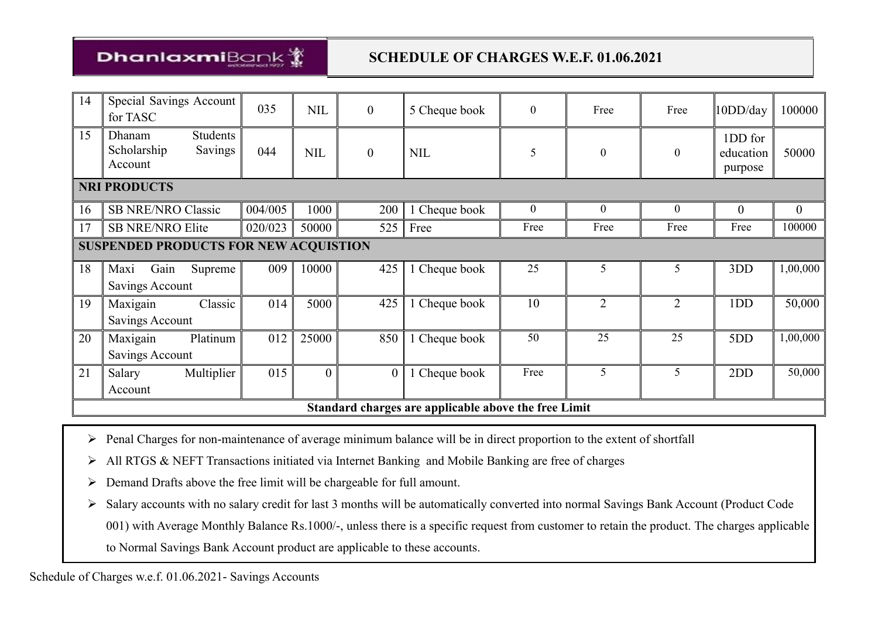# DhanlaxmiBank

| 14 | Special Savings Account<br>for TASC                            | 035     | <b>NIL</b> | $\boldsymbol{0}$ | 5 Cheque book                                        | $\mathbf{0}$ | Free           | Free           | 10DD/day                        | 100000           |
|----|----------------------------------------------------------------|---------|------------|------------------|------------------------------------------------------|--------------|----------------|----------------|---------------------------------|------------------|
| 15 | <b>Students</b><br>Dhanam<br>Scholarship<br>Savings<br>Account | 044     | <b>NIL</b> | $\boldsymbol{0}$ | <b>NIL</b>                                           | 5            | $\overline{0}$ | $\overline{0}$ | 1DD for<br>education<br>purpose | 50000            |
|    | <b>NRI PRODUCTS</b>                                            |         |            |                  |                                                      |              |                |                |                                 |                  |
| 16 | <b>SB NRE/NRO Classic</b>                                      | 004/005 | 1000       | 200              | 1 Cheque book                                        | $\mathbf{0}$ | $\overline{0}$ | $\overline{0}$ | $\overline{0}$                  | $\boldsymbol{0}$ |
|    | <b>SB NRE/NRO Elite</b>                                        | 020/023 | 50000      | 525              | Free                                                 | Free         | Free           | Free           | Free                            | 100000           |
|    | <b>SUSPENDED PRODUCTS FOR NEW ACQUISTION</b>                   |         |            |                  |                                                      |              |                |                |                                 |                  |
| 18 | Maxi<br>Gain<br>Supreme                                        | 009     | 10000      | 425              | 1 Cheque book                                        | 25           | 5              | 5              | 3DD                             | 1,00,000         |
|    | Savings Account                                                |         |            |                  |                                                      |              |                |                |                                 |                  |
| 19 | Maxigain<br>Classic                                            | 014     | 5000       | 425              | Cheque book                                          | 10           | $\overline{2}$ | $\overline{2}$ | 1DD                             | 50,000           |
|    | Savings Account                                                |         |            |                  |                                                      |              |                |                |                                 |                  |
| 20 | Maxigain<br>Platinum                                           | 012     | 25000      | 850              | 1 Cheque book                                        | 50           | 25             | 25             | 5DD                             | 1,00,000         |
|    | Savings Account                                                |         |            |                  |                                                      |              |                |                |                                 |                  |
| 21 | Multiplier<br>Salary                                           | 015     | $\theta$   |                  | 1 Cheque book                                        | Free         | 5              | 5              | 2DD                             | 50,000           |
|    | Account                                                        |         |            |                  |                                                      |              |                |                |                                 |                  |
|    |                                                                |         |            |                  | Standard charges are applicable above the free Limit |              |                |                |                                 |                  |

- Penal Charges for non-maintenance of average minimum balance will be in direct proportion to the extent of shortfall
- All RTGS & NEFT Transactions initiated via Internet Banking and Mobile Banking are free of charges
- Demand Drafts above the free limit will be chargeable for full amount.
- Salary accounts with no salary credit for last 3 months will be automatically converted into normal Savings Bank Account (Product Code 001) with Average Monthly Balance Rs.1000/-, unless there is a specific request from customer to retain the product. The charges applicable
	- to Normal Savings Bank Account product are applicable to these accounts.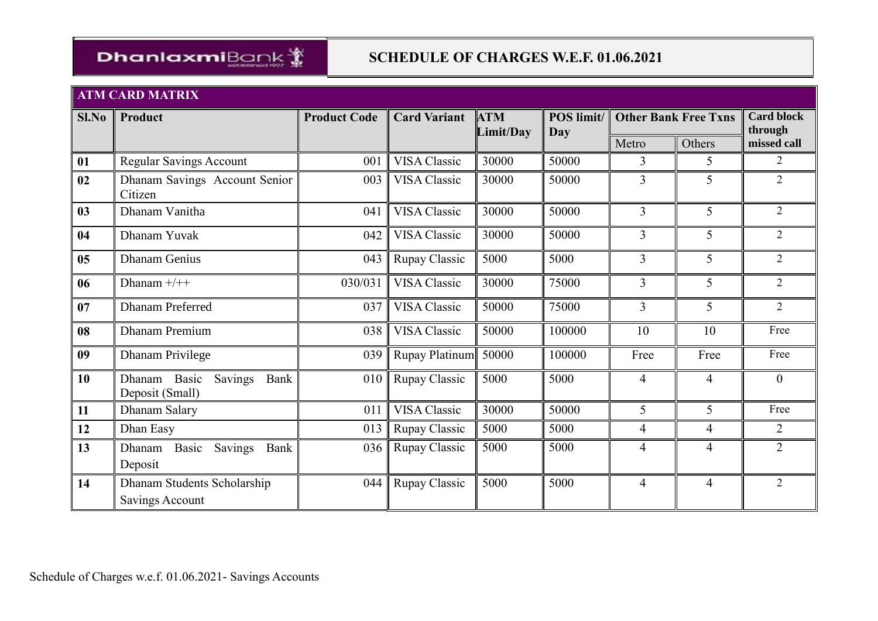

#### **ATM CARD MATRIX**

| Sl.No | Product                                            | <b>Product Code</b> | <b>Card Variant</b> | <b>ATM</b><br>Limit/Day | POS limit/<br>Day |                | <b>Other Bank Free Txns</b> | <b>Card block</b><br>through |
|-------|----------------------------------------------------|---------------------|---------------------|-------------------------|-------------------|----------------|-----------------------------|------------------------------|
|       |                                                    |                     |                     |                         |                   | Metro          | Others                      | missed call                  |
| 01    | Regular Savings Account                            | 001                 | VISA Classic        | 30000                   | 50000             | 3              | 5                           | $\overline{2}$               |
| 02    | Dhanam Savings Account Senior<br>Citizen           | 003                 | VISA Classic        | 30000                   | 50000             | 3              | 5                           | $\overline{2}$               |
| 03    | Dhanam Vanitha                                     | 041                 | <b>VISA Classic</b> | 30000                   | 50000             | 3              | 5                           | $\overline{2}$               |
| 04    | Dhanam Yuvak                                       | 042                 | <b>VISA Classic</b> | 30000                   | 50000             | $\overline{3}$ | 5                           | $\overline{2}$               |
| 05    | <b>Dhanam Genius</b>                               | 043                 | Rupay Classic       | 5000                    | 5000              | $\overline{3}$ | 5                           | 2                            |
| 06    | Dhanam $+/++$                                      | 030/031             | <b>VISA Classic</b> | 30000                   | 75000             | $\overline{3}$ | 5                           | $\overline{2}$               |
| 07    | <b>Dhanam Preferred</b>                            | 037                 | <b>VISA Classic</b> | 50000                   | 75000             | 3              | 5                           | $\overline{2}$               |
| 08    | <b>Dhanam Premium</b>                              | 038                 | <b>VISA Classic</b> | 50000                   | 100000            | 10             | 10                          | Free                         |
| 09    | <b>Dhanam Privilege</b>                            | 039                 | Rupay Platinum      | 50000                   | 100000            | Free           | Free                        | Free                         |
| 10    | Dhanam Basic<br>Savings<br>Bank<br>Deposit (Small) | 010                 | Rupay Classic       | 5000                    | 5000              | $\overline{4}$ | 4                           | $\theta$                     |
| 11    | Dhanam Salary                                      | 011                 | <b>VISA Classic</b> | 30000                   | 50000             | 5              | 5                           | Free                         |
| 12    | Dhan Easy                                          | 013                 | Rupay Classic       | 5000                    | 5000              | $\overline{4}$ | 4                           | $\overline{2}$               |
| 13    | Basic<br>Savings<br>Bank<br>Dhanam<br>Deposit      | 036                 | Rupay Classic       | 5000                    | 5000              | $\overline{4}$ | 4                           | $\overline{2}$               |
| 14    | Dhanam Students Scholarship<br>Savings Account     | 044                 | Rupay Classic       | 5000                    | 5000              | $\overline{4}$ | $\overline{4}$              | $\overline{2}$               |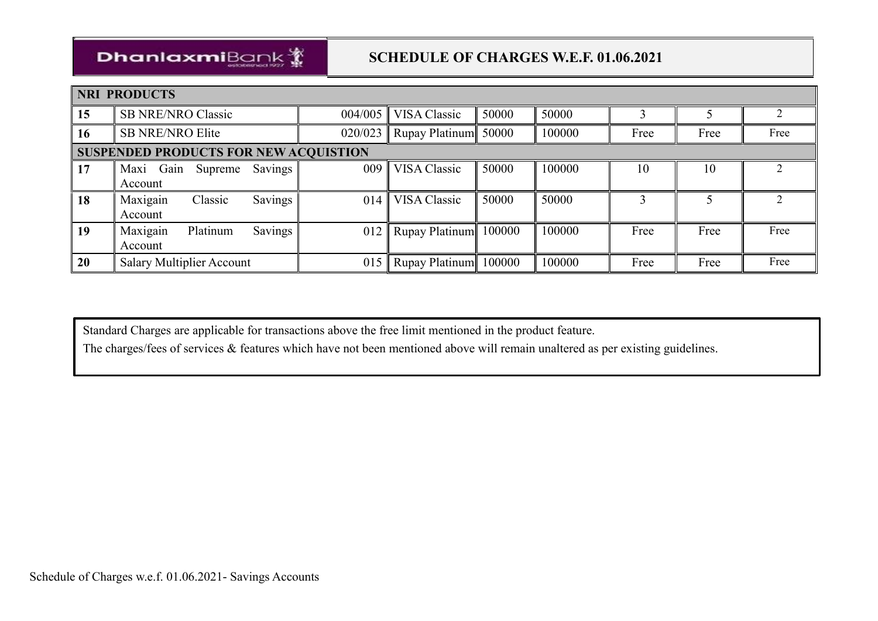

| <b>NRI PRODUCTS</b> |                                              |          |         |         |                       |       |        |      |      |      |
|---------------------|----------------------------------------------|----------|---------|---------|-----------------------|-------|--------|------|------|------|
| 15                  | <b>SB NRE/NRO Classic</b>                    |          |         | 004/005 | VISA Classic          | 50000 | 50000  |      |      |      |
| 16                  | <b>SB NRE/NRO Elite</b>                      |          |         | 020/023 | Rupay Platinum 50000  |       | 100000 | Free | Free | Free |
|                     | <b>SUSPENDED PRODUCTS FOR NEW ACQUISTION</b> |          |         |         |                       |       |        |      |      |      |
| 17                  | Maxi Gain<br>Account                         | Supreme  | Savings | 009     | VISA Classic          | 50000 | 100000 | 10   | 10   |      |
| 18                  | Maxigain<br>Account                          | Classic  | Savings | 014     | VISA Classic          | 50000 | 50000  |      |      |      |
| 19                  | Maxigain<br>Account                          | Platinum | Savings | 012     | Rupay Platinum 100000 |       | 100000 | Free | Free | Free |
| 20                  | <b>Salary Multiplier Account</b>             |          |         | 015     | Rupay Platinum 100000 |       | 100000 | Free | Free | Free |

Standard Charges are applicable for transactions above the free limit mentioned in the product feature.

The charges/fees of services & features which have not been mentioned above will remain unaltered as per existing guidelines.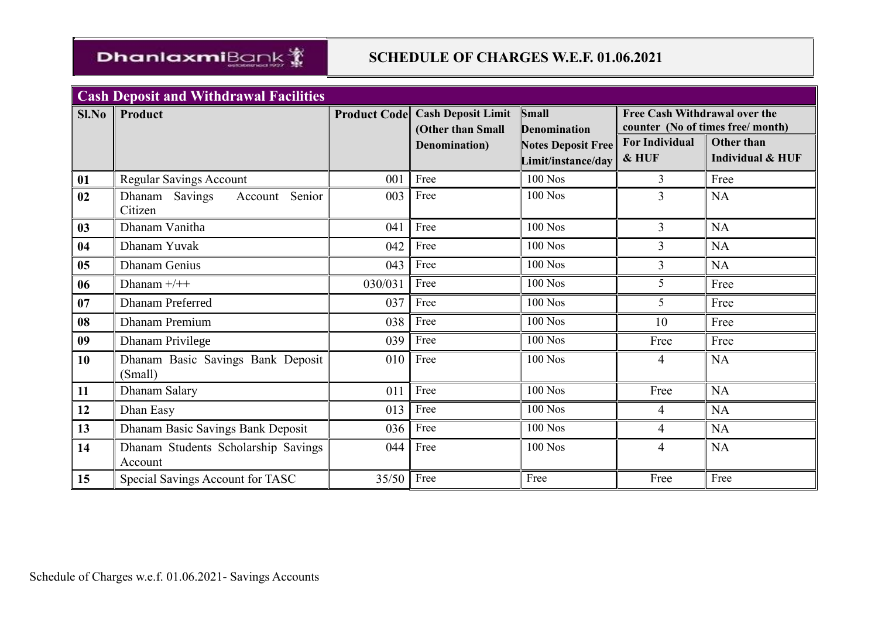

| <b>Cash Deposit and Withdrawal Facilities</b> |                                                |              |                                        |                           |                               |                                  |  |  |
|-----------------------------------------------|------------------------------------------------|--------------|----------------------------------------|---------------------------|-------------------------------|----------------------------------|--|--|
| Sl.No                                         | Product                                        |              | <b>Product Code Cash Deposit Limit</b> | <b>Small</b>              | Free Cash Withdrawal over the |                                  |  |  |
|                                               |                                                |              | (Other than Small                      | <b>Denomination</b>       |                               | counter (No of times free/month) |  |  |
|                                               |                                                |              | Denomination)                          | <b>Notes Deposit Free</b> | <b>For Individual</b>         | <b>Other than</b>                |  |  |
|                                               |                                                |              |                                        | Limit/instance/day        | & HUF                         | <b>Individual &amp; HUF</b>      |  |  |
| 01                                            | <b>Regular Savings Account</b>                 | 001          | Free                                   | $100$ Nos                 | 3                             | Free                             |  |  |
| 02                                            | Dhanam Savings<br>Senior<br>Account            | 003          | Free                                   | $100$ Nos                 | 3                             | <b>NA</b>                        |  |  |
|                                               | Citizen                                        |              |                                        |                           |                               |                                  |  |  |
| 03                                            | Dhanam Vanitha                                 | 041          | Free                                   | <b>100 Nos</b>            | $\overline{3}$                | <b>NA</b>                        |  |  |
| 04                                            | Dhanam Yuvak                                   | 042          | Free                                   | <b>100 Nos</b>            | $\overline{3}$                | NA                               |  |  |
| 05                                            | <b>Dhanam Genius</b>                           | 043          | Free                                   | <b>100 Nos</b>            | 3                             | NA                               |  |  |
| 06                                            | Dhanam $+/++$                                  | 030/031      | Free                                   | <b>100 Nos</b>            | 5                             | Free                             |  |  |
| 07                                            | <b>Dhanam Preferred</b>                        | 037          | Free                                   | $100$ Nos                 | 5                             | Free                             |  |  |
| 08                                            | <b>Dhanam Premium</b>                          | 038          | Free                                   | <b>100 Nos</b>            | 10                            | Free                             |  |  |
| 09                                            | <b>Dhanam Privilege</b>                        | 039          | Free                                   | <b>100 Nos</b>            | Free                          | Free                             |  |  |
| 10                                            | Dhanam Basic Savings Bank Deposit<br>(Small)   | 010          | Free                                   | 100 Nos                   | $\overline{4}$                | <b>NA</b>                        |  |  |
| 11                                            | Dhanam Salary                                  | 011          | Free                                   | <b>100 Nos</b>            | Free                          | <b>NA</b>                        |  |  |
| 12                                            | Dhan Easy                                      | 013          | Free                                   | $100$ Nos                 | 4                             | NA                               |  |  |
| 13                                            | Dhanam Basic Savings Bank Deposit              | 036          | Free                                   | $100$ Nos                 | $\overline{4}$                | NA                               |  |  |
| 14                                            | Dhanam Students Scholarship Savings<br>Account | 044          | Free                                   | 100 Nos                   | $\overline{4}$                | <b>NA</b>                        |  |  |
| 15                                            | Special Savings Account for TASC               | $35/50$ Free |                                        | Free                      | Free                          | Free                             |  |  |